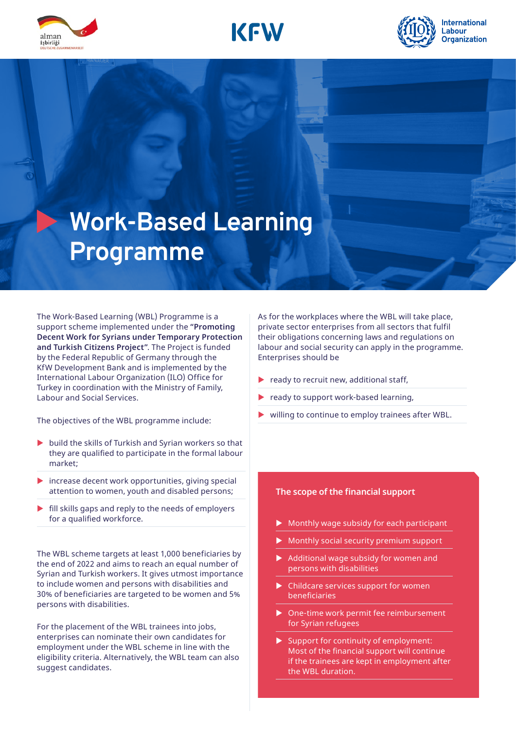





# **Work-Based Learning Programme**

The Work-Based Learning (WBL) Programme is a support scheme implemented under the **"Promoting Decent Work for Syrians under Temporary Protection and Turkish Citizens Project"**. The Project is funded by the Federal Republic of Germany through the KfW Development Bank and is implemented by the International Labour Organization (ILO) Office for Turkey in coordination with the Ministry of Family, Labour and Social Services.

The objectives of the WBL programme include:

- $\blacktriangleright$  build the skills of Turkish and Syrian workers so that they are qualified to participate in the formal labour market;
- $\triangleright$  increase decent work opportunities, giving special attention to women, youth and disabled persons;
- $\blacktriangleright$  fill skills gaps and reply to the needs of employers for a qualified workforce.

The WBL scheme targets at least 1,000 beneficiaries by the end of 2022 and aims to reach an equal number of Syrian and Turkish workers. It gives utmost importance to include women and persons with disabilities and 30% of beneficiaries are targeted to be women and 5% persons with disabilities.

For the placement of the WBL trainees into jobs, enterprises can nominate their own candidates for employment under the WBL scheme in line with the eligibility criteria. Alternatively, the WBL team can also suggest candidates.

As for the workplaces where the WBL will take place, private sector enterprises from all sectors that fulfil their obligations concerning laws and regulations on labour and social security can apply in the programme. Enterprises should be

- ready to recruit new, additional staff,
- ready to support work-based learning,
- willing to continue to employ trainees after WBL.

#### **The scope of the financial support**

- Monthly wage subsidy for each participant
- Monthly social security premium support
- Additional wage subsidy for women and persons with disabilities
- Childcare services support for women beneficiaries
- ▶ One-time work permit fee reimbursement for Syrian refugees
- Support for continuity of employment: Most of the financial support will continue if the trainees are kept in employment after the WBL duration.